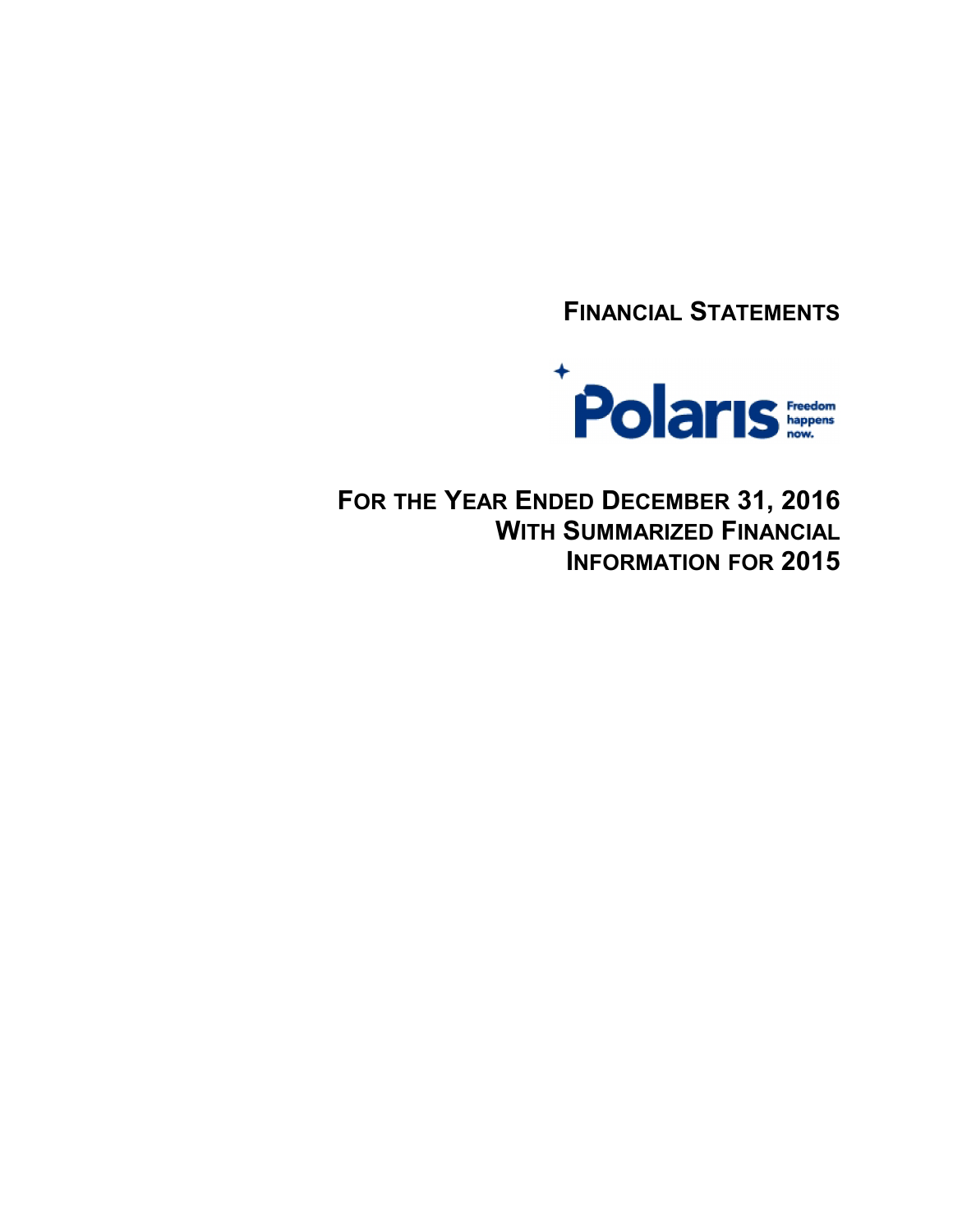**FINANCIAL STATEMENTS**



**FOR THE YEAR ENDED DECEMBER 31, 2016 WITH SUMMARIZED FINANCIAL INFORMATION FOR 2015**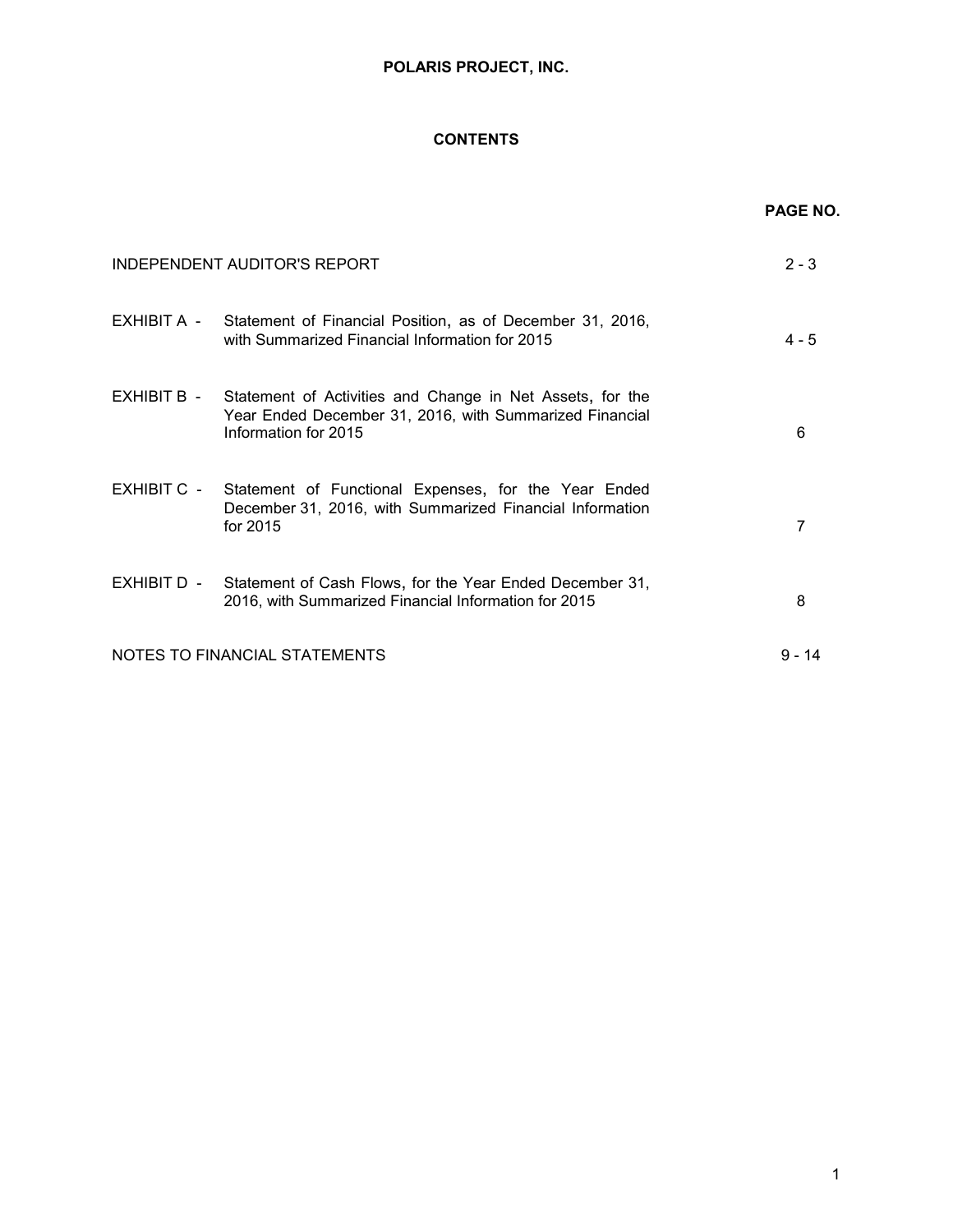# **CONTENTS**

|             |                                                                                                                                                          | <b>PAGE NO.</b> |
|-------------|----------------------------------------------------------------------------------------------------------------------------------------------------------|-----------------|
|             | INDEPENDENT AUDITOR'S REPORT                                                                                                                             | $2 - 3$         |
|             | EXHIBIT A - Statement of Financial Position, as of December 31, 2016,<br>with Summarized Financial Information for 2015                                  | $4 - 5$         |
|             | EXHIBIT B - Statement of Activities and Change in Net Assets, for the<br>Year Ended December 31, 2016, with Summarized Financial<br>Information for 2015 | 6               |
| EXHIBIT C - | Statement of Functional Expenses, for the Year Ended<br>December 31, 2016, with Summarized Financial Information<br>for 2015                             | 7               |
| EXHIBIT D - | Statement of Cash Flows, for the Year Ended December 31,<br>2016, with Summarized Financial Information for 2015                                         | 8               |
|             | NOTES TO FINANCIAL STATEMENTS                                                                                                                            | 9 - 14          |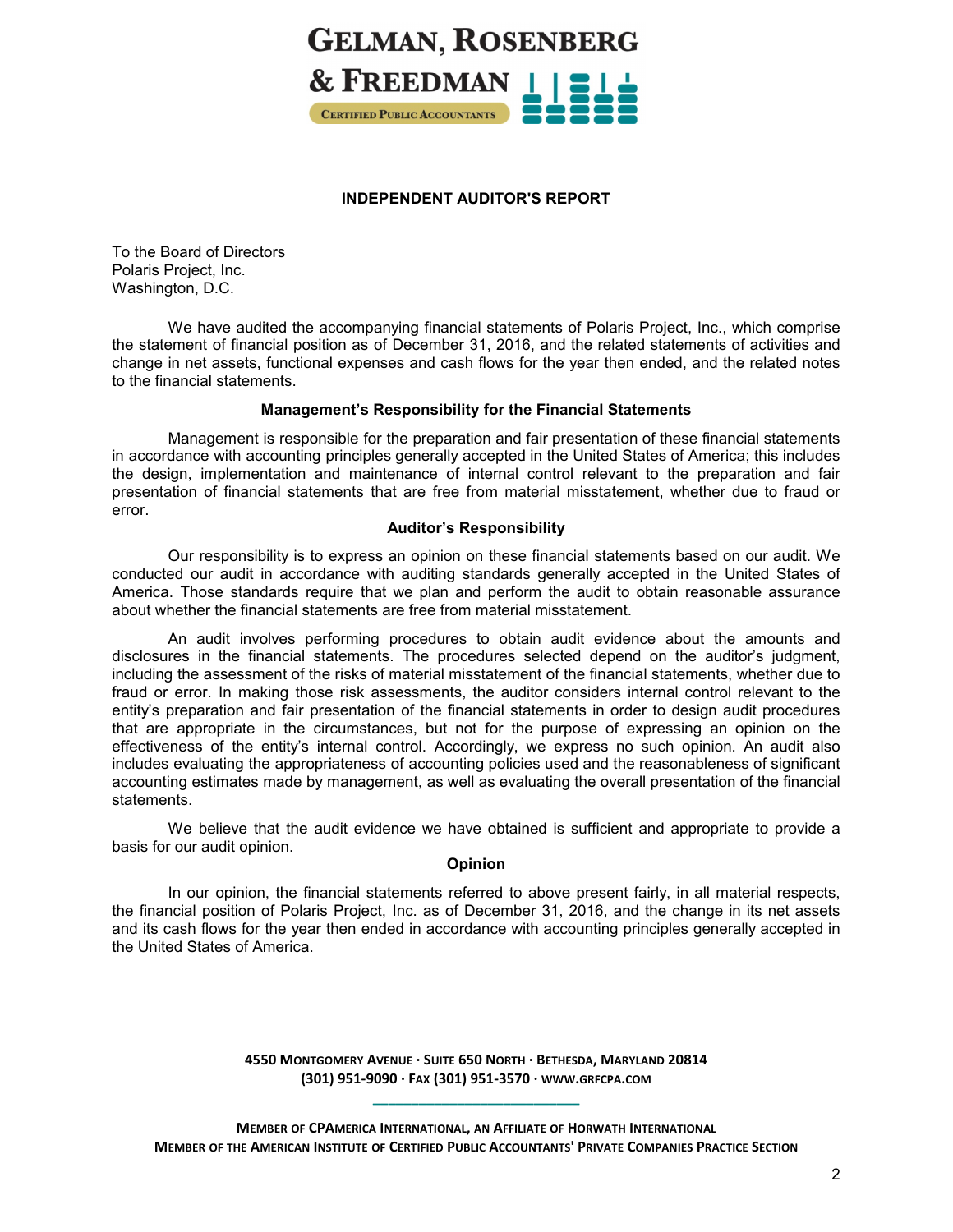

# **INDEPENDENT AUDITOR'S REPORT**

To the Board of Directors Polaris Project, Inc. Washington, D.C.

We have audited the accompanying financial statements of Polaris Project, Inc., which comprise the statement of financial position as of December 31, 2016, and the related statements of activities and change in net assets, functional expenses and cash flows for the year then ended, and the related notes to the financial statements.

# **Management's Responsibility for the Financial Statements**

Management is responsible for the preparation and fair presentation of these financial statements in accordance with accounting principles generally accepted in the United States of America; this includes the design, implementation and maintenance of internal control relevant to the preparation and fair presentation of financial statements that are free from material misstatement, whether due to fraud or error.

# **Auditor's Responsibility**

Our responsibility is to express an opinion on these financial statements based on our audit. We conducted our audit in accordance with auditing standards generally accepted in the United States of America. Those standards require that we plan and perform the audit to obtain reasonable assurance about whether the financial statements are free from material misstatement.

An audit involves performing procedures to obtain audit evidence about the amounts and disclosures in the financial statements. The procedures selected depend on the auditor's judgment, including the assessment of the risks of material misstatement of the financial statements, whether due to fraud or error. In making those risk assessments, the auditor considers internal control relevant to the entity's preparation and fair presentation of the financial statements in order to design audit procedures that are appropriate in the circumstances, but not for the purpose of expressing an opinion on the effectiveness of the entity's internal control. Accordingly, we express no such opinion. An audit also includes evaluating the appropriateness of accounting policies used and the reasonableness of significant accounting estimates made by management, as well as evaluating the overall presentation of the financial statements.

We believe that the audit evidence we have obtained is sufficient and appropriate to provide a basis for our audit opinion.

# **Opinion**

In our opinion, the financial statements referred to above present fairly, in all material respects, the financial position of Polaris Project, Inc. as of December 31, 2016, and the change in its net assets and its cash flows for the year then ended in accordance with accounting principles generally accepted in the United States of America.

> **4550 MONTGOMERY AVENUE · SUITE 650 NORTH · BETHESDA, MARYLAND 20814 (301) 951-9090 · FAX (301) 951-3570 · WWW.GRFCPA.COM \_\_\_\_\_\_\_\_\_\_\_\_\_\_\_\_\_\_\_\_\_\_\_\_\_\_\_**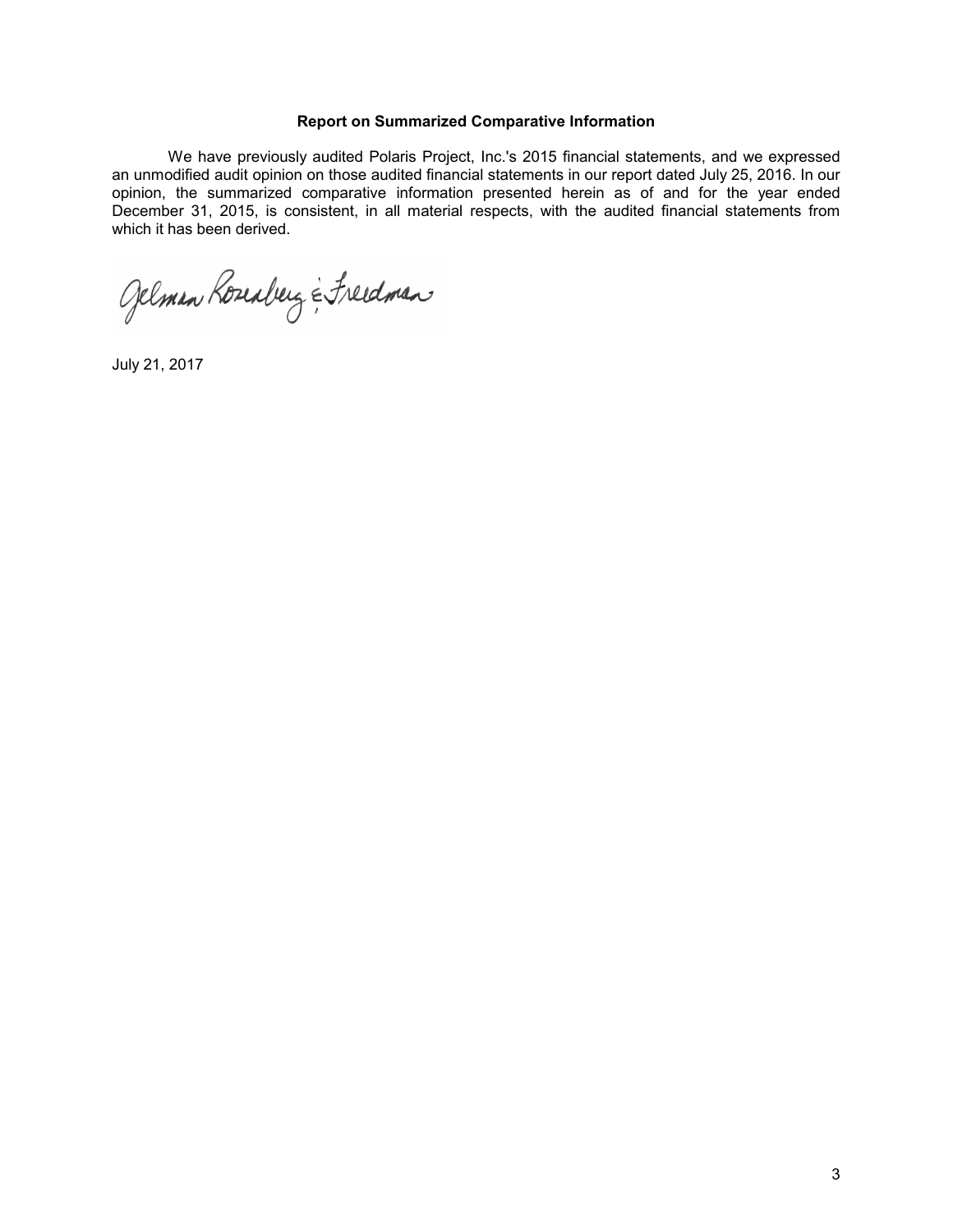## **Report on Summarized Comparative Information**

We have previously audited Polaris Project, Inc.'s 2015 financial statements, and we expressed an unmodified audit opinion on those audited financial statements in our report dated July 25, 2016. In our opinion, the summarized comparative information presented herein as of and for the year ended December 31, 2015, is consistent, in all material respects, with the audited financial statements from which it has been derived.

Gelman Roseaberg & Freedman

July 21, 2017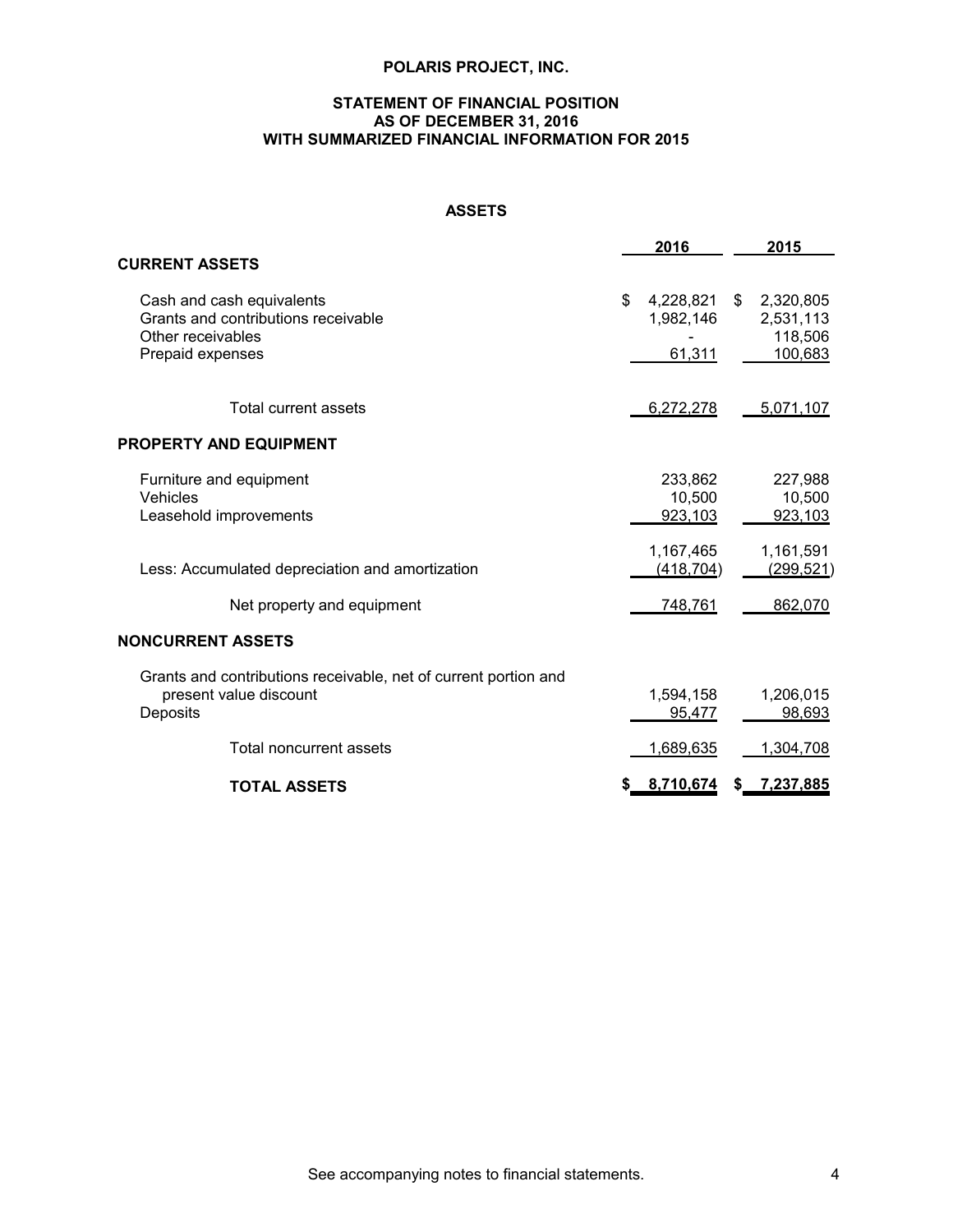# **STATEMENT OF FINANCIAL POSITION AS OF DECEMBER 31, 2016 WITH SUMMARIZED FINANCIAL INFORMATION FOR 2015**

# **ASSETS**

|                                                                                                           | 2016                                   | 2015                                               |
|-----------------------------------------------------------------------------------------------------------|----------------------------------------|----------------------------------------------------|
| <b>CURRENT ASSETS</b>                                                                                     |                                        |                                                    |
| Cash and cash equivalents<br>Grants and contributions receivable<br>Other receivables<br>Prepaid expenses | \$<br>4,228,821<br>1,982,146<br>61,311 | 2,320,805<br>\$<br>2,531,113<br>118,506<br>100,683 |
|                                                                                                           |                                        |                                                    |
| Total current assets                                                                                      | 6,272,278                              | 5,071,107                                          |
| PROPERTY AND EQUIPMENT                                                                                    |                                        |                                                    |
| Furniture and equipment<br>Vehicles<br>Leasehold improvements                                             | 233,862<br>10,500<br>923,103           | 227,988<br>10,500<br>923,103                       |
| Less: Accumulated depreciation and amortization                                                           | 1,167,465<br>(418, 704)                | 1,161,591<br>(299, 521)                            |
| Net property and equipment                                                                                | 748,761                                | 862,070                                            |
| NONCURRENT ASSETS                                                                                         |                                        |                                                    |
| Grants and contributions receivable, net of current portion and<br>present value discount<br>Deposits     | 1,594,158<br>95,477                    | 1,206,015<br>98,693                                |
| Total noncurrent assets                                                                                   | 1,689,635                              | 1,304,708                                          |
| <b>TOTAL ASSETS</b>                                                                                       | \$8,710,674                            | 7,237,885<br>S.                                    |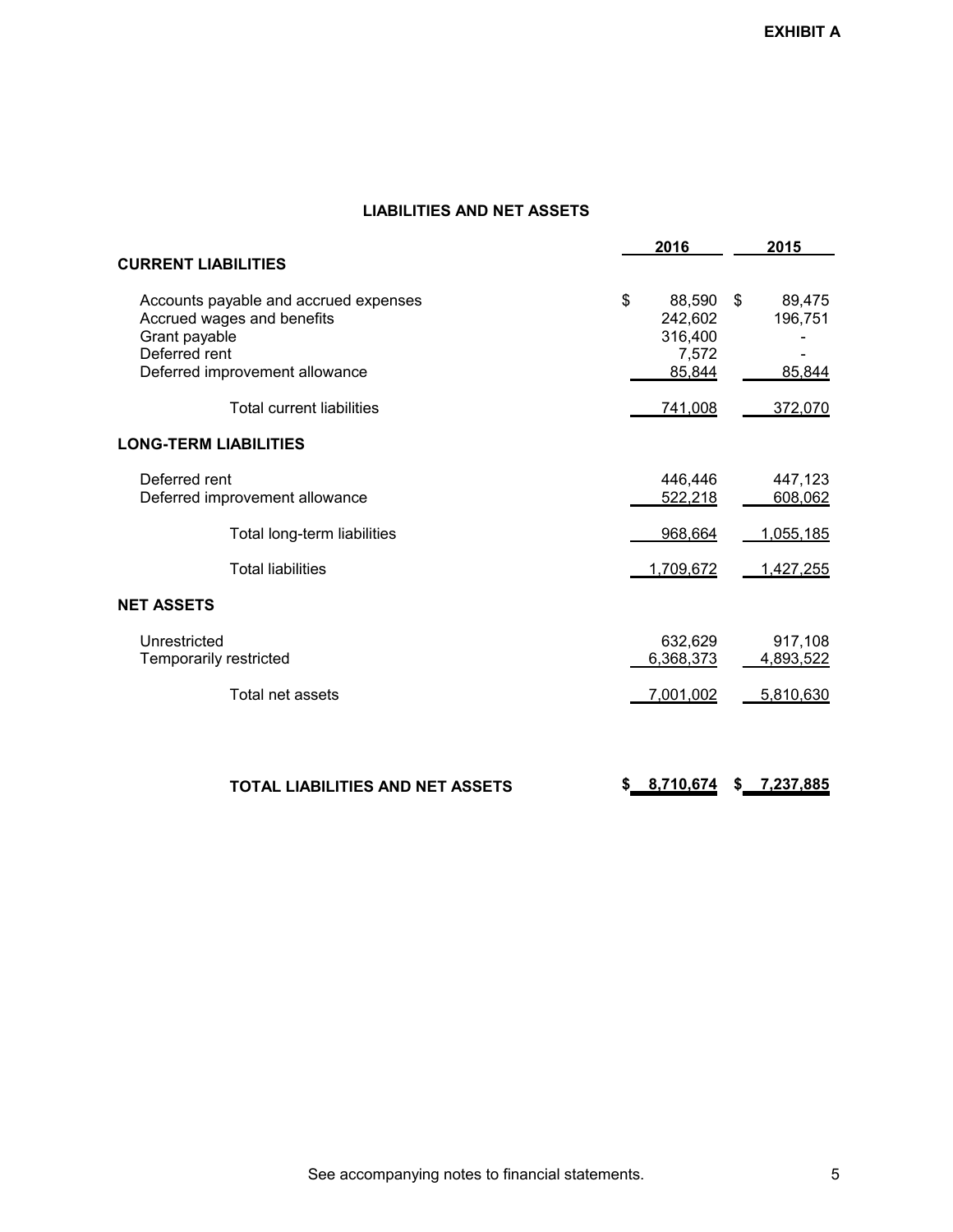# **LIABILITIES AND NET ASSETS**

|                                                                                                                                         |    | 2016                                            | 2015                              |
|-----------------------------------------------------------------------------------------------------------------------------------------|----|-------------------------------------------------|-----------------------------------|
| <b>CURRENT LIABILITIES</b>                                                                                                              |    |                                                 |                                   |
| Accounts payable and accrued expenses<br>Accrued wages and benefits<br>Grant payable<br>Deferred rent<br>Deferred improvement allowance | \$ | 88,590<br>242,602<br>316,400<br>7,572<br>85,844 | \$<br>89,475<br>196,751<br>85,844 |
| <b>Total current liabilities</b>                                                                                                        |    | 741,008                                         | 372,070                           |
| <b>LONG-TERM LIABILITIES</b>                                                                                                            |    |                                                 |                                   |
| Deferred rent<br>Deferred improvement allowance                                                                                         |    | 446,446<br>522,218                              | 447,123<br>608,062                |
| Total long-term liabilities                                                                                                             |    | 968,664                                         | 1,055,185                         |
| <b>Total liabilities</b>                                                                                                                |    | 1,709,672                                       | 1,427,255                         |
| <b>NET ASSETS</b>                                                                                                                       |    |                                                 |                                   |
| Unrestricted<br>Temporarily restricted                                                                                                  |    | 632,629<br>6,368,373                            | 917,108<br>4,893,522              |
| Total net assets                                                                                                                        |    | 7,001,002                                       | 5,810,630                         |
|                                                                                                                                         |    |                                                 |                                   |
| <b>TOTAL LIABILITIES AND NET ASSETS</b>                                                                                                 | S  | 8,710,674                                       | \$<br>7,237,885                   |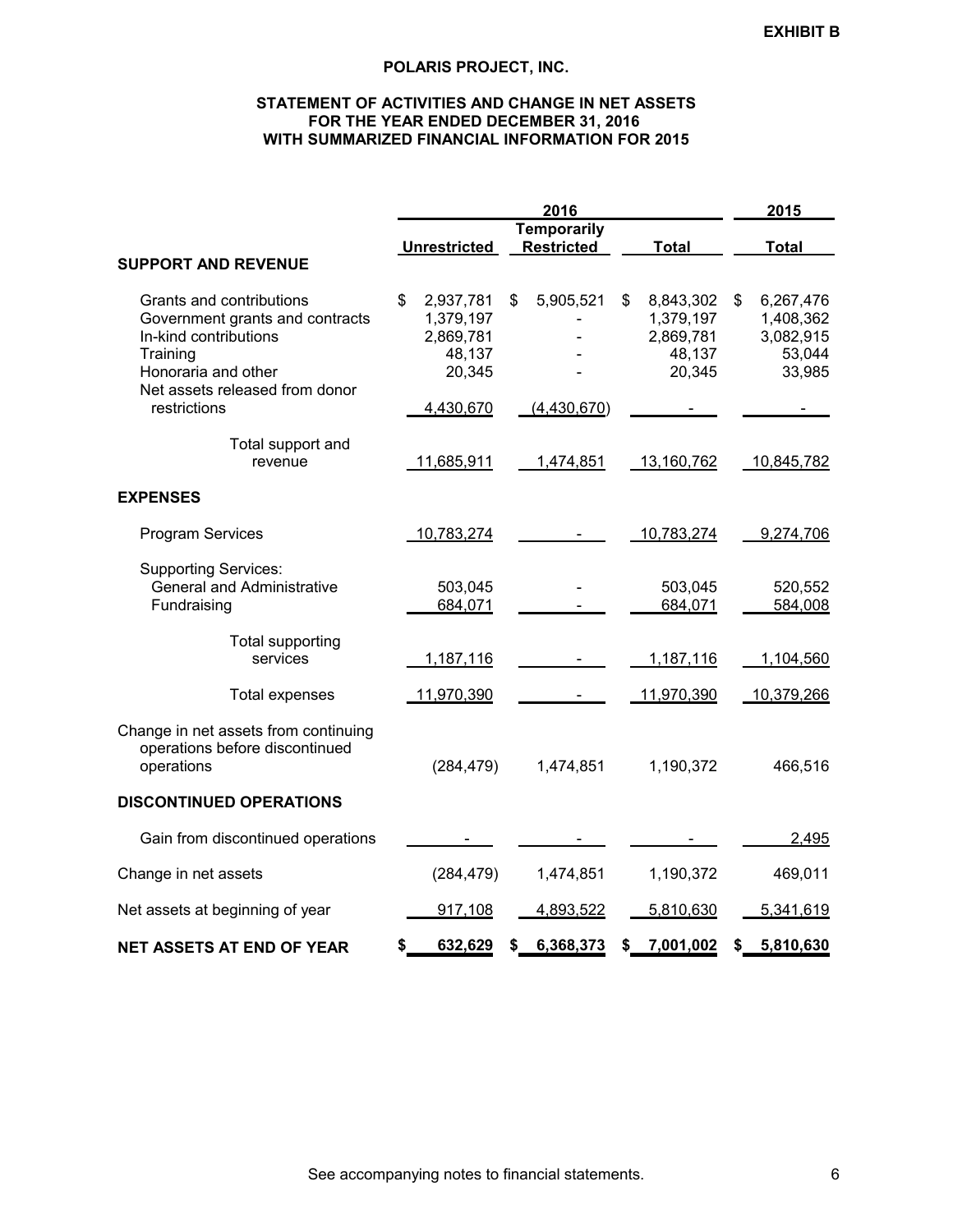# **STATEMENT OF ACTIVITIES AND CHANGE IN NET ASSETS FOR THE YEAR ENDED DECEMBER 31, 2016 WITH SUMMARIZED FINANCIAL INFORMATION FOR 2015**

|                                                                        | 2016                |                    |                   | 2015            |
|------------------------------------------------------------------------|---------------------|--------------------|-------------------|-----------------|
|                                                                        |                     | <b>Temporarily</b> |                   |                 |
| <b>SUPPORT AND REVENUE</b>                                             | <b>Unrestricted</b> | <b>Restricted</b>  | <b>Total</b>      | <b>Total</b>    |
|                                                                        |                     |                    |                   |                 |
| Grants and contributions                                               | \$<br>2,937,781     | 5,905,521<br>\$    | \$<br>8,843,302   | \$<br>6,267,476 |
| Government grants and contracts                                        | 1,379,197           |                    | 1,379,197         | 1,408,362       |
| In-kind contributions                                                  | 2,869,781           |                    | 2,869,781         | 3,082,915       |
| Training                                                               | 48,137              |                    | 48,137            | 53,044          |
| Honoraria and other                                                    | 20,345              |                    | 20,345            | 33,985          |
| Net assets released from donor<br>restrictions                         | 4,430,670           | (4,430,670)        |                   |                 |
|                                                                        |                     |                    |                   |                 |
| Total support and                                                      |                     |                    |                   |                 |
| revenue                                                                | 11,685,911          | 1,474,851          | 13,160,762        | 10,845,782      |
|                                                                        |                     |                    |                   |                 |
| <b>EXPENSES</b>                                                        |                     |                    |                   |                 |
| <b>Program Services</b>                                                | 10,783,274          |                    | <u>10,783,274</u> | 9,274,706       |
|                                                                        |                     |                    |                   |                 |
| <b>Supporting Services:</b>                                            |                     |                    |                   |                 |
| <b>General and Administrative</b>                                      | 503,045             |                    | 503,045           | 520,552         |
| Fundraising                                                            | 684,071             |                    | 684,071           | 584,008         |
| Total supporting                                                       |                     |                    |                   |                 |
| services                                                               | 1,187,116           |                    | 1,187,116         | 1,104,560       |
| Total expenses                                                         | 11,970,390          |                    | 11,970,390        | 10,379,266      |
|                                                                        |                     |                    |                   |                 |
| Change in net assets from continuing<br>operations before discontinued |                     |                    |                   |                 |
| operations                                                             | (284, 479)          | 1,474,851          | 1,190,372         | 466,516         |
|                                                                        |                     |                    |                   |                 |
| <b>DISCONTINUED OPERATIONS</b>                                         |                     |                    |                   |                 |
| Gain from discontinued operations                                      |                     |                    |                   | 2,495           |
|                                                                        |                     |                    |                   |                 |
| Change in net assets                                                   | (284, 479)          | 1,474,851          | 1,190,372         | 469,011         |
| Net assets at beginning of year                                        | 917,108             | 4,893,522          | 5,810,630         | 5,341,619       |
|                                                                        | 632,629<br>\$       | 6,368,373<br>\$    | 7,001,002<br>S    | 5,810,630<br>\$ |
| <b>NET ASSETS AT END OF YEAR</b>                                       |                     |                    |                   |                 |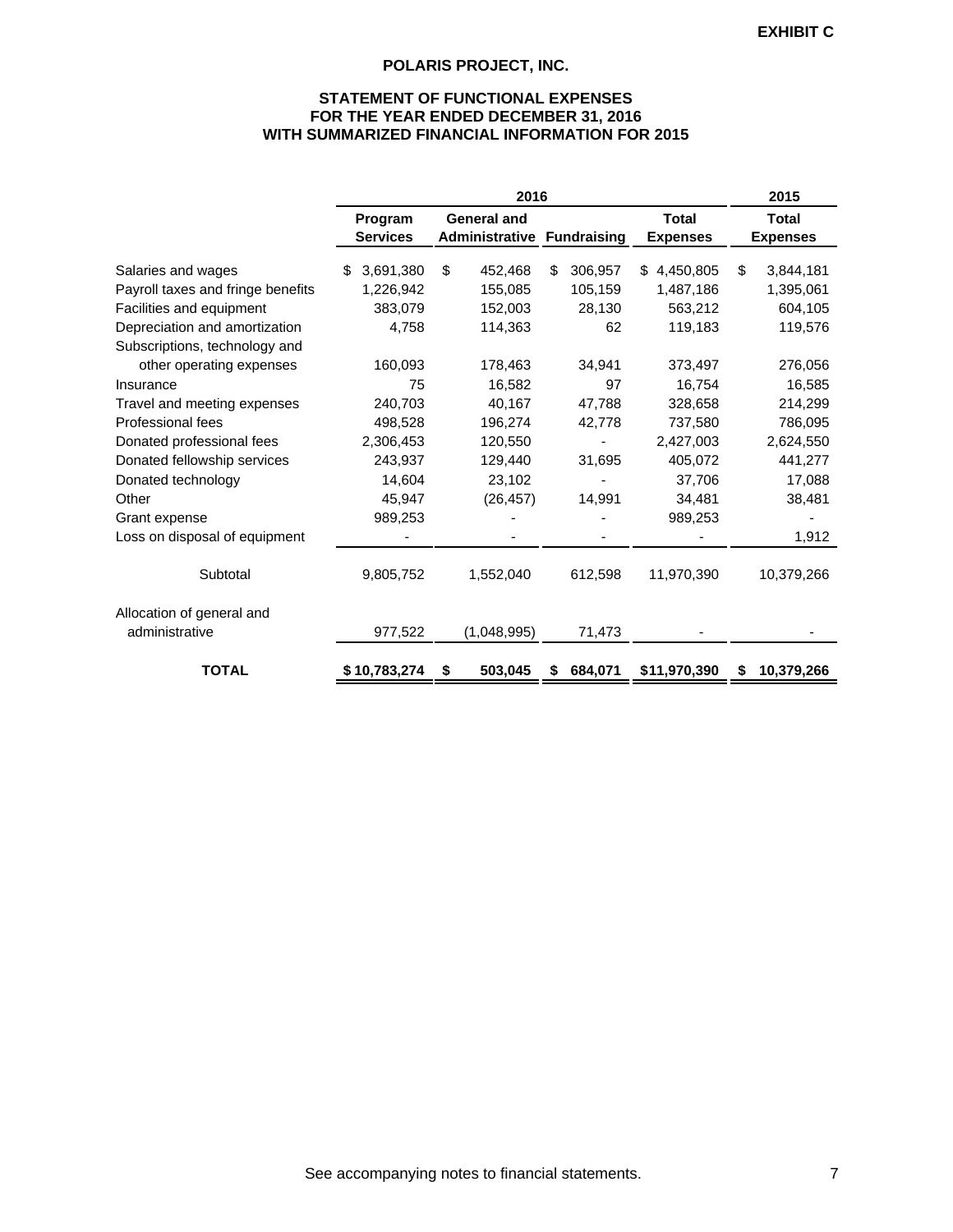# **STATEMENT OF FUNCTIONAL EXPENSES FOR THE YEAR ENDED DECEMBER 31, 2016 WITH SUMMARIZED FINANCIAL INFORMATION FOR 2015**

|                                   | 2016                       |                                                         |               |                                 | 2015                            |
|-----------------------------------|----------------------------|---------------------------------------------------------|---------------|---------------------------------|---------------------------------|
|                                   | Program<br><b>Services</b> | <b>General and</b><br><b>Administrative Fundraising</b> |               | <b>Total</b><br><b>Expenses</b> | <b>Total</b><br><b>Expenses</b> |
| Salaries and wages                | 3,691,380<br>\$            | \$<br>452,468                                           | \$<br>306,957 | 4,450,805<br>\$                 | \$<br>3,844,181                 |
| Payroll taxes and fringe benefits | 1,226,942                  | 155,085                                                 | 105,159       | 1,487,186                       | 1,395,061                       |
| Facilities and equipment          | 383,079                    | 152,003                                                 | 28,130        | 563,212                         | 604,105                         |
| Depreciation and amortization     | 4,758                      | 114,363                                                 | 62            | 119,183                         | 119,576                         |
| Subscriptions, technology and     |                            |                                                         |               |                                 |                                 |
| other operating expenses          | 160,093                    | 178,463                                                 | 34,941        | 373,497                         | 276,056                         |
| Insurance                         | 75                         | 16,582                                                  | 97            | 16,754                          | 16,585                          |
| Travel and meeting expenses       | 240,703                    | 40,167                                                  | 47,788        | 328,658                         | 214,299                         |
| Professional fees                 | 498,528                    | 196,274                                                 | 42,778        | 737,580                         | 786,095                         |
| Donated professional fees         | 2,306,453                  | 120,550                                                 |               | 2,427,003                       | 2,624,550                       |
| Donated fellowship services       | 243,937                    | 129,440                                                 | 31,695        | 405,072                         | 441,277                         |
| Donated technology                | 14,604                     | 23,102                                                  |               | 37,706                          | 17,088                          |
| Other                             | 45,947                     | (26, 457)                                               | 14,991        | 34,481                          | 38,481                          |
| Grant expense                     | 989,253                    |                                                         |               | 989,253                         |                                 |
| Loss on disposal of equipment     |                            |                                                         |               |                                 | 1,912                           |
| Subtotal                          | 9,805,752                  | 1,552,040                                               | 612,598       | 11,970,390                      | 10,379,266                      |
| Allocation of general and         |                            |                                                         |               |                                 |                                 |
| administrative                    | 977,522                    | (1,048,995)                                             | 71,473        |                                 |                                 |
| <b>TOTAL</b>                      | \$10,783,274               | 503,045<br>\$                                           | 684,071       | \$11,970,390                    | 10,379,266<br>S                 |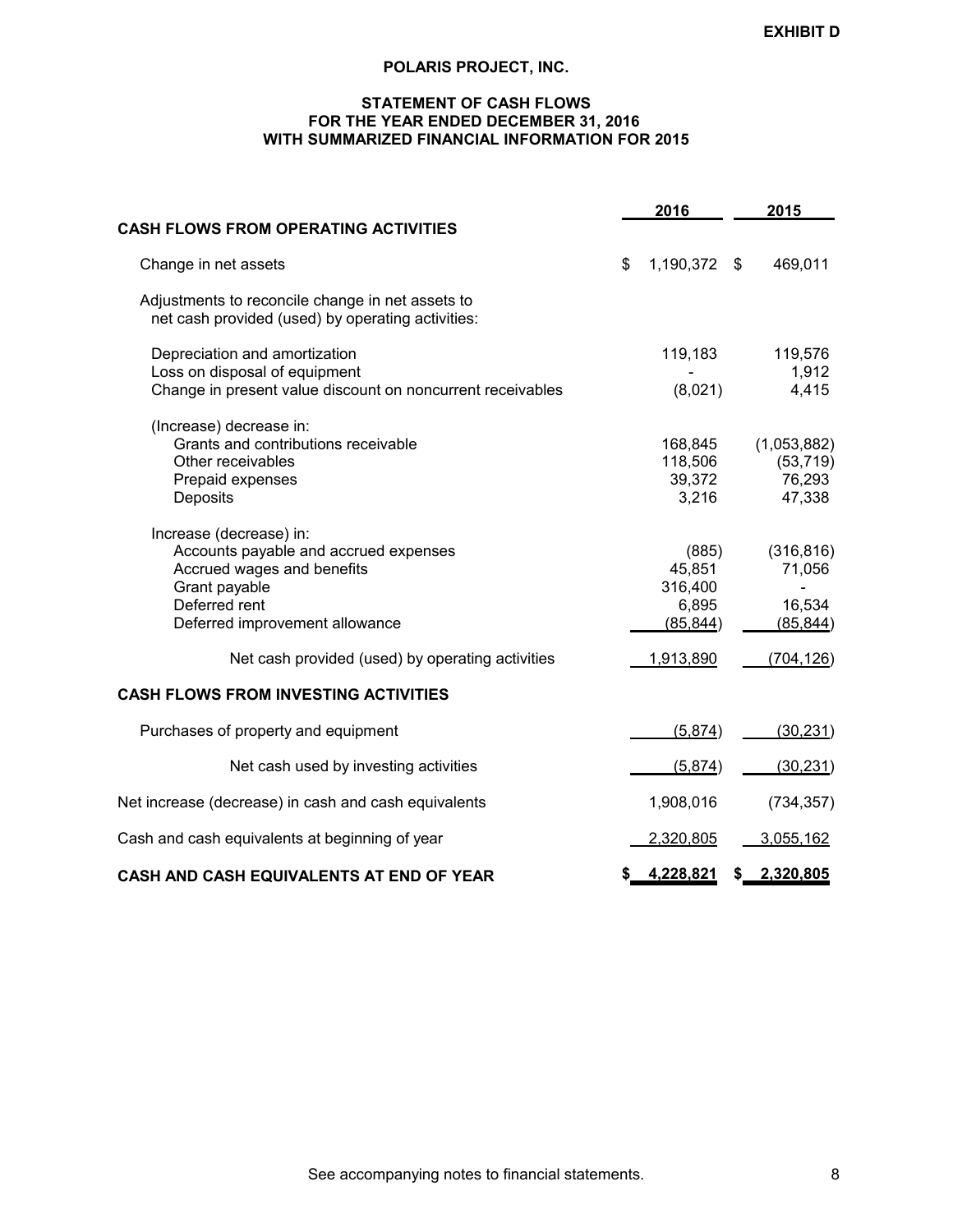# **STATEMENT OF CASH FLOWS FOR THE YEAR ENDED DECEMBER 31, 2016 WITH SUMMARIZED FINANCIAL INFORMATION FOR 2015**

|                                                                                                                                                                    | 2016                                             |     | 2015                                         |
|--------------------------------------------------------------------------------------------------------------------------------------------------------------------|--------------------------------------------------|-----|----------------------------------------------|
| <b>CASH FLOWS FROM OPERATING ACTIVITIES</b>                                                                                                                        |                                                  |     |                                              |
| Change in net assets                                                                                                                                               | \$<br>1,190,372                                  | \$  | 469,011                                      |
| Adjustments to reconcile change in net assets to<br>net cash provided (used) by operating activities:                                                              |                                                  |     |                                              |
| Depreciation and amortization<br>Loss on disposal of equipment<br>Change in present value discount on noncurrent receivables                                       | 119,183<br>(8,021)                               |     | 119,576<br>1,912<br>4,415                    |
| (Increase) decrease in:<br>Grants and contributions receivable<br>Other receivables<br>Prepaid expenses<br>Deposits                                                | 168,845<br>118,506<br>39,372<br>3,216            |     | (1,053,882)<br>(53, 719)<br>76,293<br>47,338 |
| Increase (decrease) in:<br>Accounts payable and accrued expenses<br>Accrued wages and benefits<br>Grant payable<br>Deferred rent<br>Deferred improvement allowance | (885)<br>45,851<br>316,400<br>6,895<br>(85, 844) |     | (316, 816)<br>71,056<br>16,534<br>(85, 844)  |
| Net cash provided (used) by operating activities                                                                                                                   | 1,913,890                                        |     | (704, 126)                                   |
| CASH FLOWS FROM INVESTING ACTIVITIES                                                                                                                               |                                                  |     |                                              |
| Purchases of property and equipment                                                                                                                                | (5,874)                                          |     | (30, 231)                                    |
| Net cash used by investing activities                                                                                                                              | (5,874)                                          |     | (30, 231)                                    |
| Net increase (decrease) in cash and cash equivalents                                                                                                               | 1,908,016                                        |     | (734, 357)                                   |
| Cash and cash equivalents at beginning of year                                                                                                                     | 2,320,805                                        |     | 3,055,162                                    |
| <b>CASH AND CASH EQUIVALENTS AT END OF YEAR</b>                                                                                                                    | \$<br>4,228,821                                  | \$. | 2,320,805                                    |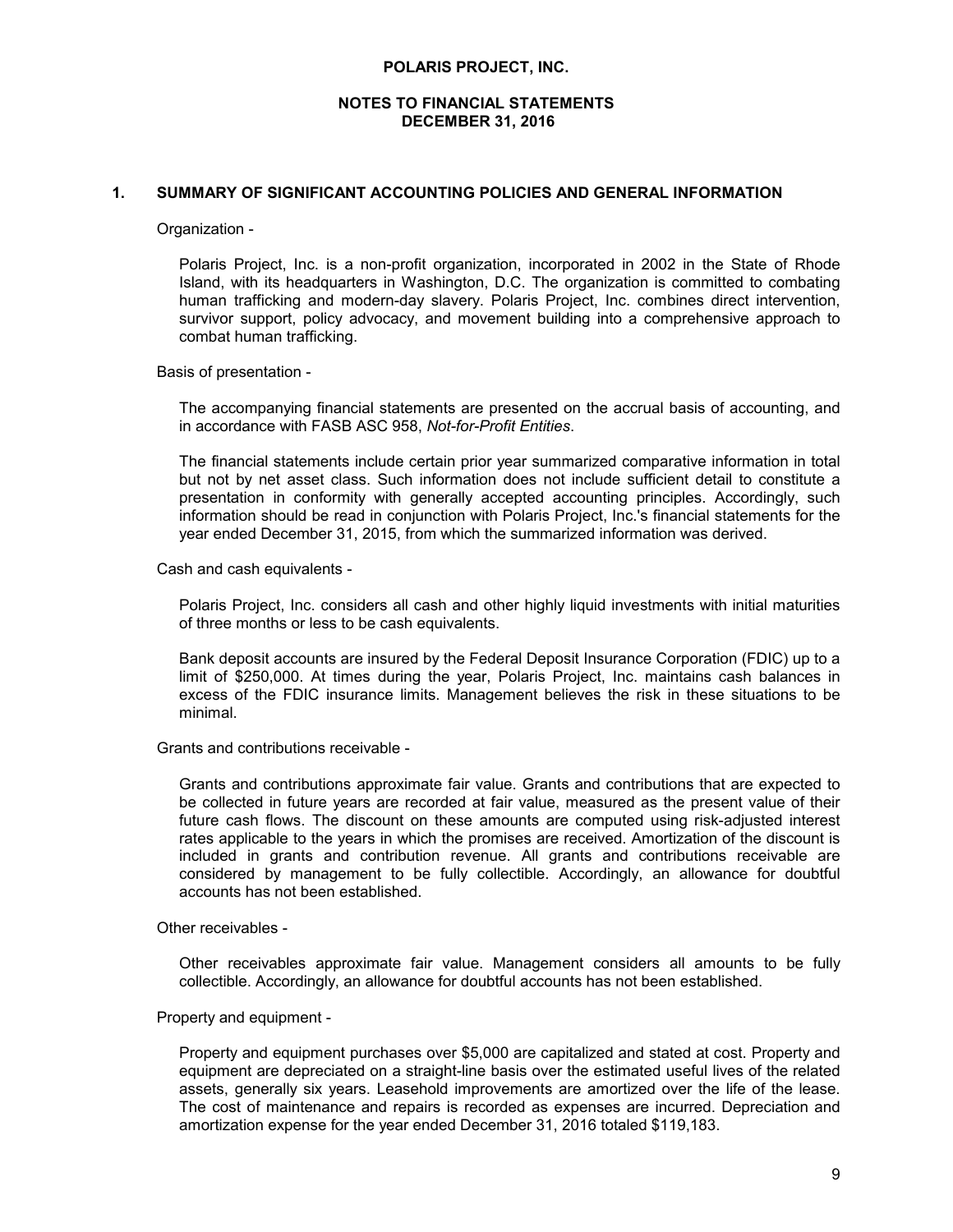### **1. SUMMARY OF SIGNIFICANT ACCOUNTING POLICIES AND GENERAL INFORMATION**

#### Organization -

Polaris Project, Inc. is a non-profit organization, incorporated in 2002 in the State of Rhode Island, with its headquarters in Washington, D.C. The organization is committed to combating human trafficking and modern-day slavery. Polaris Project, Inc. combines direct intervention, survivor support, policy advocacy, and movement building into a comprehensive approach to combat human trafficking.

Basis of presentation -

The accompanying financial statements are presented on the accrual basis of accounting, and in accordance with FASB ASC 958, *Not-for-Profit Entities*.

The financial statements include certain prior year summarized comparative information in total but not by net asset class. Such information does not include sufficient detail to constitute a presentation in conformity with generally accepted accounting principles. Accordingly, such information should be read in conjunction with Polaris Project, Inc.'s financial statements for the year ended December 31, 2015, from which the summarized information was derived.

Cash and cash equivalents -

Polaris Project, Inc. considers all cash and other highly liquid investments with initial maturities of three months or less to be cash equivalents.

Bank deposit accounts are insured by the Federal Deposit Insurance Corporation (FDIC) up to a limit of \$250,000. At times during the year, Polaris Project, Inc. maintains cash balances in excess of the FDIC insurance limits. Management believes the risk in these situations to be minimal.

Grants and contributions receivable -

Grants and contributions approximate fair value. Grants and contributions that are expected to be collected in future years are recorded at fair value, measured as the present value of their future cash flows. The discount on these amounts are computed using risk-adjusted interest rates applicable to the years in which the promises are received. Amortization of the discount is included in grants and contribution revenue. All grants and contributions receivable are considered by management to be fully collectible. Accordingly, an allowance for doubtful accounts has not been established.

Other receivables -

Other receivables approximate fair value. Management considers all amounts to be fully collectible. Accordingly, an allowance for doubtful accounts has not been established.

Property and equipment -

Property and equipment purchases over \$5,000 are capitalized and stated at cost. Property and equipment are depreciated on a straight-line basis over the estimated useful lives of the related assets, generally six years. Leasehold improvements are amortized over the life of the lease. The cost of maintenance and repairs is recorded as expenses are incurred. Depreciation and amortization expense for the year ended December 31, 2016 totaled \$119,183.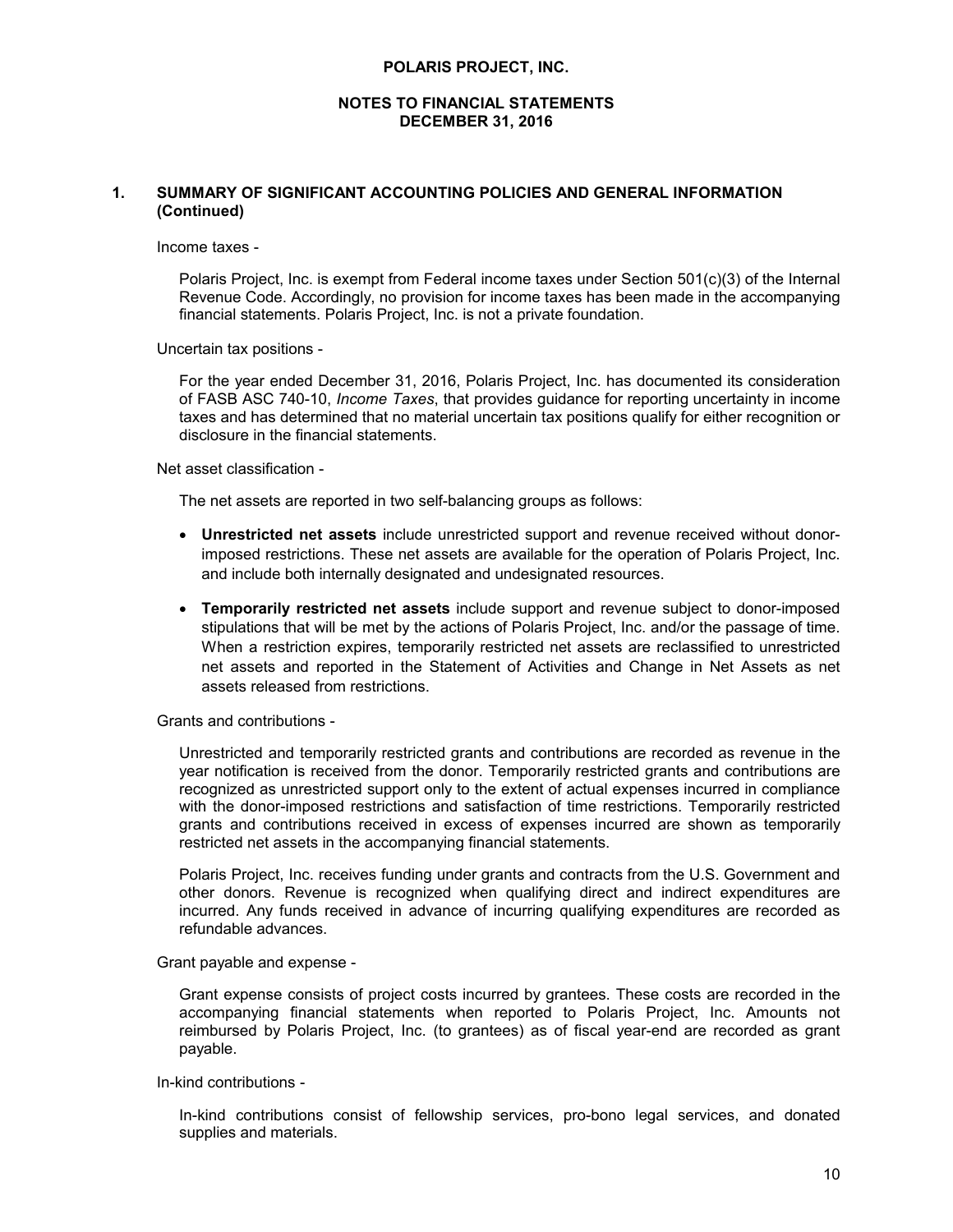#### **NOTES TO FINANCIAL STATEMENTS DECEMBER 31, 2016**

# **1. SUMMARY OF SIGNIFICANT ACCOUNTING POLICIES AND GENERAL INFORMATION (Continued)**

Income taxes -

Polaris Project, Inc. is exempt from Federal income taxes under Section 501(c)(3) of the Internal Revenue Code. Accordingly, no provision for income taxes has been made in the accompanying financial statements. Polaris Project, Inc. is not a private foundation.

Uncertain tax positions -

For the year ended December 31, 2016, Polaris Project, Inc. has documented its consideration of FASB ASC 740-10, *Income Taxes*, that provides guidance for reporting uncertainty in income taxes and has determined that no material uncertain tax positions qualify for either recognition or disclosure in the financial statements.

Net asset classification -

The net assets are reported in two self-balancing groups as follows:

- **Unrestricted net assets** include unrestricted support and revenue received without donorimposed restrictions. These net assets are available for the operation of Polaris Project, Inc. and include both internally designated and undesignated resources.
- **Temporarily restricted net assets** include support and revenue subject to donor-imposed stipulations that will be met by the actions of Polaris Project, Inc. and/or the passage of time. When a restriction expires, temporarily restricted net assets are reclassified to unrestricted net assets and reported in the Statement of Activities and Change in Net Assets as net assets released from restrictions.

Grants and contributions -

Unrestricted and temporarily restricted grants and contributions are recorded as revenue in the year notification is received from the donor. Temporarily restricted grants and contributions are recognized as unrestricted support only to the extent of actual expenses incurred in compliance with the donor-imposed restrictions and satisfaction of time restrictions. Temporarily restricted grants and contributions received in excess of expenses incurred are shown as temporarily restricted net assets in the accompanying financial statements.

Polaris Project, Inc. receives funding under grants and contracts from the U.S. Government and other donors. Revenue is recognized when qualifying direct and indirect expenditures are incurred. Any funds received in advance of incurring qualifying expenditures are recorded as refundable advances.

Grant payable and expense -

Grant expense consists of project costs incurred by grantees. These costs are recorded in the accompanying financial statements when reported to Polaris Project, Inc. Amounts not reimbursed by Polaris Project, Inc. (to grantees) as of fiscal year-end are recorded as grant payable.

In-kind contributions -

In-kind contributions consist of fellowship services, pro-bono legal services, and donated supplies and materials.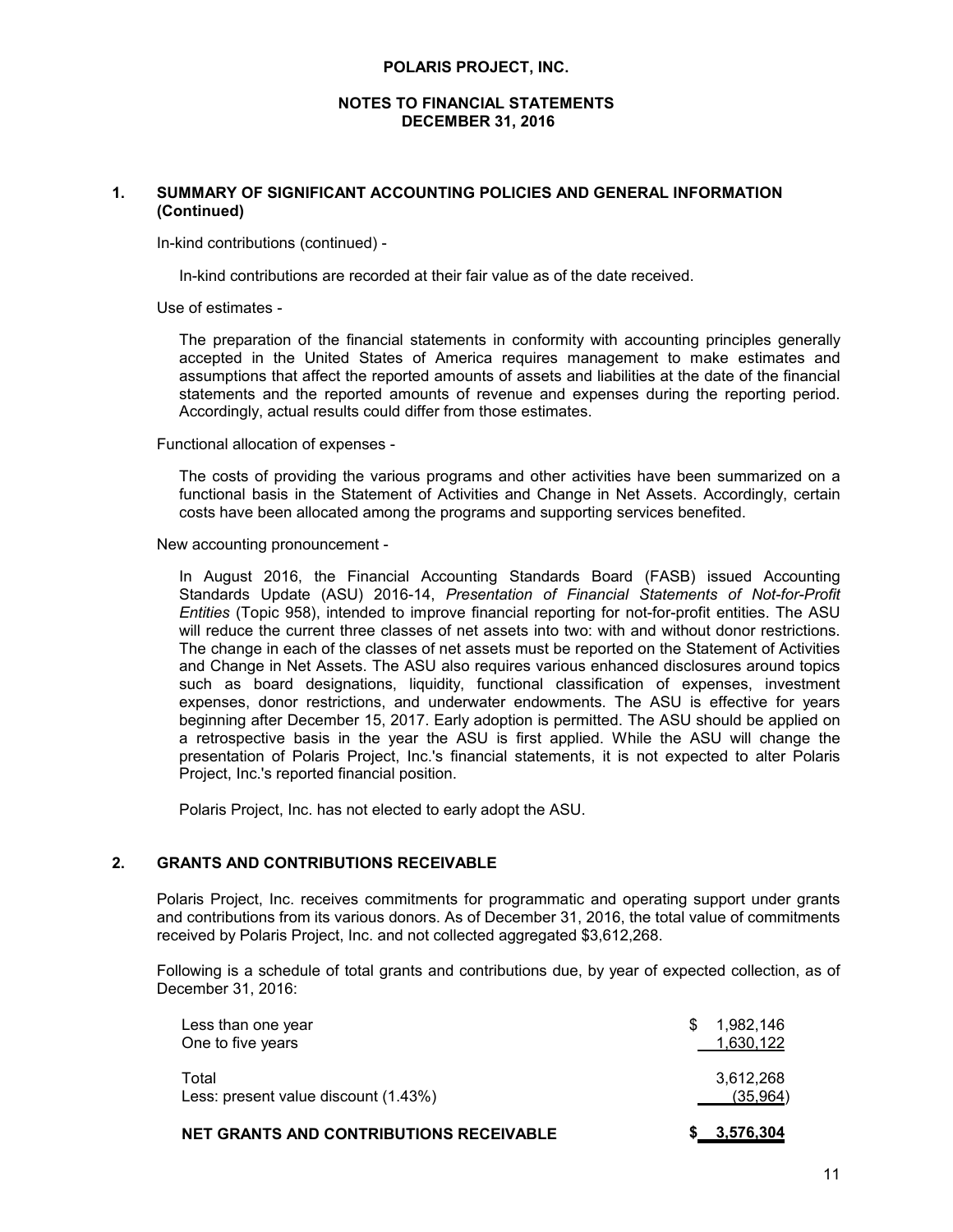#### **NOTES TO FINANCIAL STATEMENTS DECEMBER 31, 2016**

# **1. SUMMARY OF SIGNIFICANT ACCOUNTING POLICIES AND GENERAL INFORMATION (Continued)**

In-kind contributions (continued) -

In-kind contributions are recorded at their fair value as of the date received.

Use of estimates -

The preparation of the financial statements in conformity with accounting principles generally accepted in the United States of America requires management to make estimates and assumptions that affect the reported amounts of assets and liabilities at the date of the financial statements and the reported amounts of revenue and expenses during the reporting period. Accordingly, actual results could differ from those estimates.

Functional allocation of expenses -

The costs of providing the various programs and other activities have been summarized on a functional basis in the Statement of Activities and Change in Net Assets. Accordingly, certain costs have been allocated among the programs and supporting services benefited.

New accounting pronouncement -

In August 2016, the Financial Accounting Standards Board (FASB) issued Accounting Standards Update (ASU) 2016-14, *Presentation of Financial Statements of Not-for-Profit Entities* (Topic 958), intended to improve financial reporting for not-for-profit entities. The ASU will reduce the current three classes of net assets into two: with and without donor restrictions. The change in each of the classes of net assets must be reported on the Statement of Activities and Change in Net Assets. The ASU also requires various enhanced disclosures around topics such as board designations, liquidity, functional classification of expenses, investment expenses, donor restrictions, and underwater endowments. The ASU is effective for years beginning after December 15, 2017. Early adoption is permitted. The ASU should be applied on a retrospective basis in the year the ASU is first applied. While the ASU will change the presentation of Polaris Project, Inc.'s financial statements, it is not expected to alter Polaris Project, Inc.'s reported financial position.

Polaris Project, Inc. has not elected to early adopt the ASU.

# **2. GRANTS AND CONTRIBUTIONS RECEIVABLE**

Polaris Project, Inc. receives commitments for programmatic and operating support under grants and contributions from its various donors. As of December 31, 2016, the total value of commitments received by Polaris Project, Inc. and not collected aggregated \$3,612,268.

Following is a schedule of total grants and contributions due, by year of expected collection, as of December 31, 2016:

| <b>NET GRANTS AND CONTRIBUTIONS RECEIVABLE</b> | <u>3,576,304</u>            |
|------------------------------------------------|-----------------------------|
| Total<br>Less: present value discount (1.43%)  | 3,612,268<br>(35.964)       |
| Less than one year<br>One to five years        | 1,982,146<br>S<br>1,630,122 |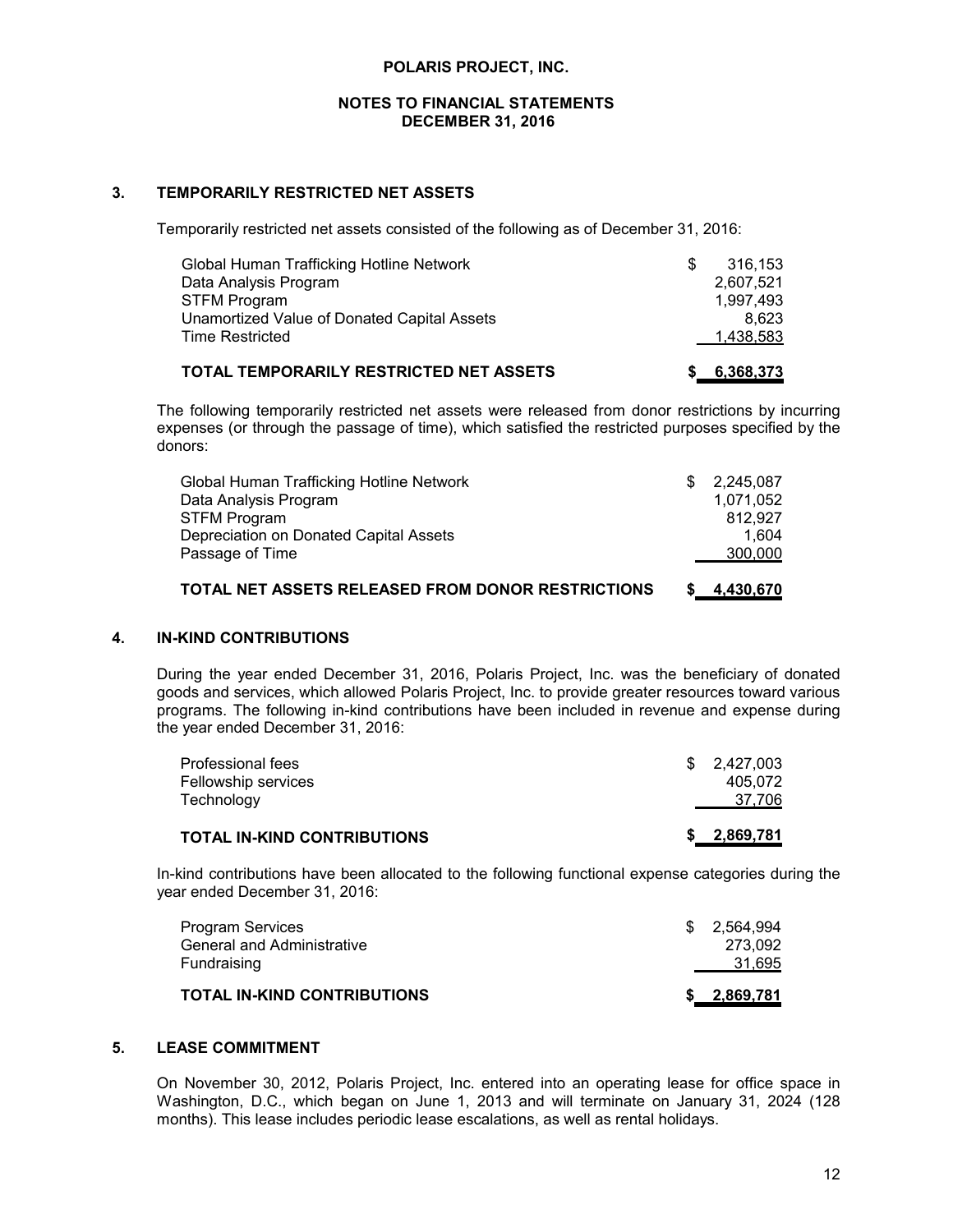# **3. TEMPORARILY RESTRICTED NET ASSETS**

Temporarily restricted net assets consisted of the following as of December 31, 2016:

| Global Human Trafficking Hotline Network    | 316.153   |
|---------------------------------------------|-----------|
| Data Analysis Program                       | 2.607.521 |
| STFM Program                                | 1.997.493 |
| Unamortized Value of Donated Capital Assets | 8.623     |
| Time Restricted                             | 1,438,583 |
|                                             |           |

# **TOTAL TEMPORARILY RESTRICTED NET ASSETS \$ 6,368,373**

The following temporarily restricted net assets were released from donor restrictions by incurring expenses (or through the passage of time), which satisfied the restricted purposes specified by the donors:

| Global Human Trafficking Hotline Network<br>Data Analysis Program | 1.071.052 |
|-------------------------------------------------------------------|-----------|
| <b>STFM Program</b>                                               | 812.927   |
| Depreciation on Donated Capital Assets                            | 1.604     |
| Passage of Time                                                   | 300,000   |
| TOTAL NET ASSETS RELEASED FROM DONOR RESTRICTIONS                 | 4,430,670 |

# **4. IN-KIND CONTRIBUTIONS**

During the year ended December 31, 2016, Polaris Project, Inc. was the beneficiary of donated goods and services, which allowed Polaris Project, Inc. to provide greater resources toward various programs. The following in-kind contributions have been included in revenue and expense during the year ended December 31, 2016:

| <b>TOTAL IN-KIND CONTRIBUTIONS</b> | 2,869,781   |
|------------------------------------|-------------|
| Technology                         | 37,706      |
| Fellowship services                | 405.072     |
| Professional fees                  | \$2,427,003 |

In-kind contributions have been allocated to the following functional expense categories during the year ended December 31, 2016:

| Fundraising                 | 31,695      |
|-----------------------------|-------------|
| TOTAL IN-KIND CONTRIBUTIONS | \$2,869,781 |

# **5. LEASE COMMITMENT**

On November 30, 2012, Polaris Project, Inc. entered into an operating lease for office space in Washington, D.C., which began on June 1, 2013 and will terminate on January 31, 2024 (128 months). This lease includes periodic lease escalations, as well as rental holidays.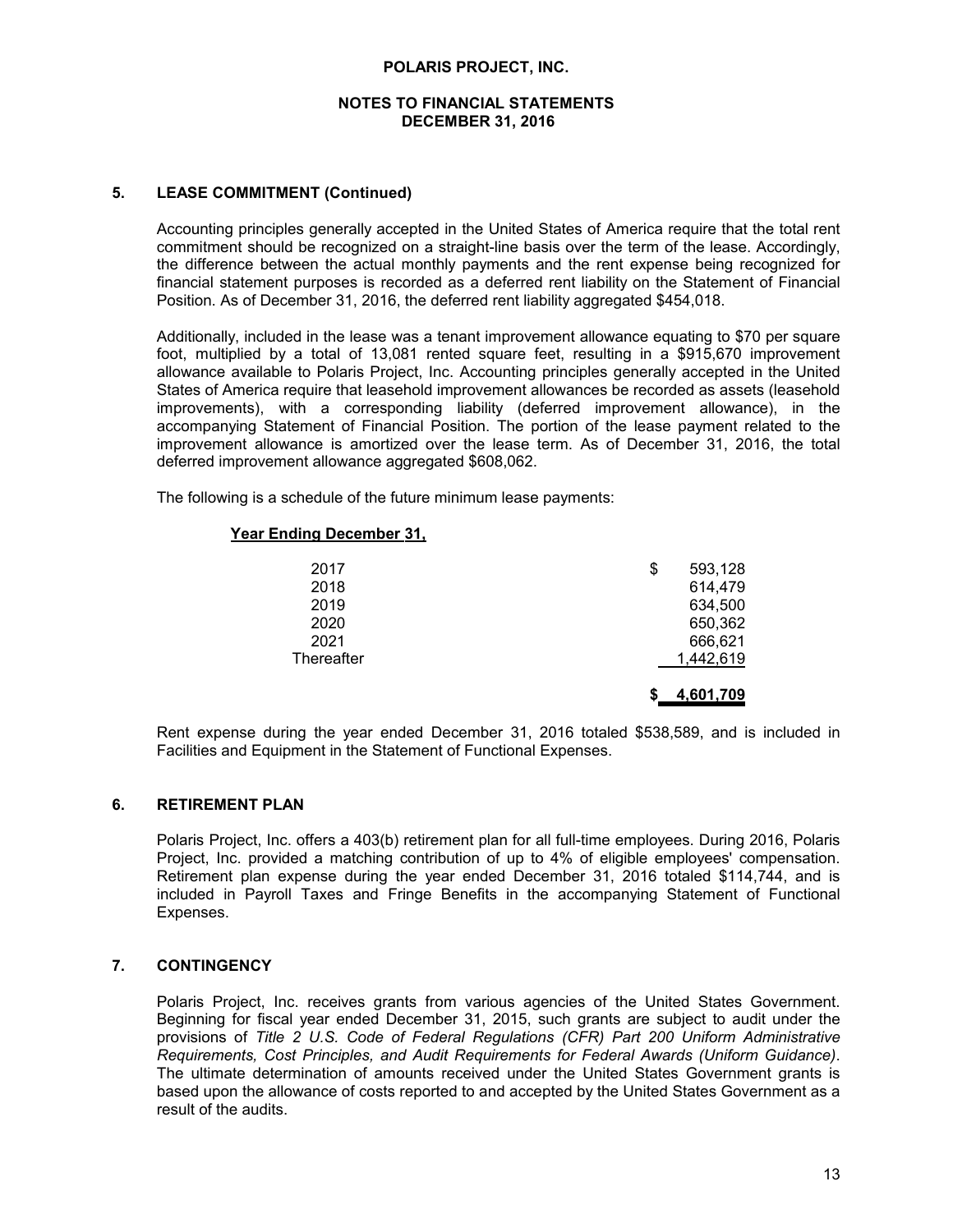# **5. LEASE COMMITMENT (Continued)**

Accounting principles generally accepted in the United States of America require that the total rent commitment should be recognized on a straight-line basis over the term of the lease. Accordingly, the difference between the actual monthly payments and the rent expense being recognized for financial statement purposes is recorded as a deferred rent liability on the Statement of Financial Position. As of December 31, 2016, the deferred rent liability aggregated \$454,018.

Additionally, included in the lease was a tenant improvement allowance equating to \$70 per square foot, multiplied by a total of 13,081 rented square feet, resulting in a \$915,670 improvement allowance available to Polaris Project, Inc. Accounting principles generally accepted in the United States of America require that leasehold improvement allowances be recorded as assets (leasehold improvements), with a corresponding liability (deferred improvement allowance), in the accompanying Statement of Financial Position. The portion of the lease payment related to the improvement allowance is amortized over the lease term. As of December 31, 2016, the total deferred improvement allowance aggregated \$608,062.

The following is a schedule of the future minimum lease payments:

# **Year Ending December 31,**

| 2017       | 593,128<br>\$ |  |
|------------|---------------|--|
| 2018       | 614,479       |  |
| 2019       | 634,500       |  |
| 2020       | 650,362       |  |
| 2021       | 666,621       |  |
| Thereafter | 1,442,619     |  |
|            |               |  |
|            | 4,601,709     |  |

Rent expense during the year ended December 31, 2016 totaled \$538,589, and is included in Facilities and Equipment in the Statement of Functional Expenses.

# **6. RETIREMENT PLAN**

Polaris Project, Inc. offers a 403(b) retirement plan for all full-time employees. During 2016, Polaris Project, Inc. provided a matching contribution of up to 4% of eligible employees' compensation. Retirement plan expense during the year ended December 31, 2016 totaled \$114,744, and is included in Payroll Taxes and Fringe Benefits in the accompanying Statement of Functional Expenses.

# **7. CONTINGENCY**

Polaris Project, Inc. receives grants from various agencies of the United States Government. Beginning for fiscal year ended December 31, 2015, such grants are subject to audit under the provisions of *Title 2 U.S. Code of Federal Regulations (CFR) Part 200 Uniform Administrative Requirements, Cost Principles, and Audit Requirements for Federal Awards (Uniform Guidance)*. The ultimate determination of amounts received under the United States Government grants is based upon the allowance of costs reported to and accepted by the United States Government as a result of the audits.